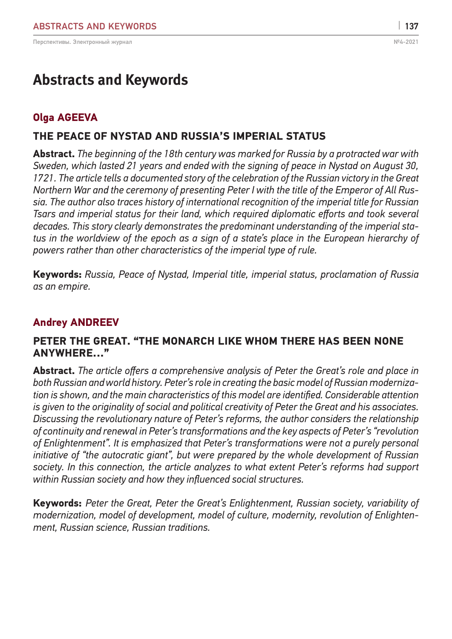# **Abstracts and Keywords**

# **Olga AGEEVA**

# **THE PEACE OF NYSTAD AND RUSSIA'S IMPERIAL STATUS**

**Abstract.** *The beginning of the 18th century was marked for Russia by a protracted war with Sweden, which lasted 21 years and ended with the signing of peace in Nystad on August 30, 1721. The article tells a documented story of the celebration of the Russian victory in the Great Northern War and the ceremony of presenting Peter I with the title of the Emperor of All Russia. The author also traces history of international recognition of the imperial title for Russian Tsars and imperial status for their land, which required diplomatic efforts and took several decades. This story clearly demonstrates the predominant understanding of the imperial status in the worldview of the epoch as a sign of a state's place in the European hierarchy of powers rather than other characteristics of the imperial type of rule.*

**Keywords:** *Russia, Peace of Nystad, Imperial title, imperial status, proclamation of Russia as an empire.*

## **Andrey ANDREEV**

#### **PETER THE GREAT. "THE MONARCH LIKE WHOM THERE HAS BEEN NONE ANYWHERE…"**

**Abstract.** *The article offers a comprehensive analysis of Peter the Great's role and place in both Russian and world history. Peter's role in creating the basic model of Russian modernization is shown, and the main characteristics of this model are identified. Considerable attention is given to the originality of social and political creativity of Peter the Great and his associates. Discussing the revolutionary nature of Peter's reforms, the author considers the relationship of continuity and renewal in Peter's transformations and the key aspects of Peter's "revolution of Enlightenment". It is emphasized that Peter's transformations were not a purely personal initiative of "the autocratic giant", but were prepared by the whole development of Russian society. In this connection, the article analyzes to what extent Peter's reforms had support within Russian society and how they influenced social structures.*

**Keywords:** *Peter the Great, Peter the Great's Enlightenment, Russian society, variability of modernization, model of development, model of culture, modernity, revolution of Enlightenment, Russian science, Russian traditions.*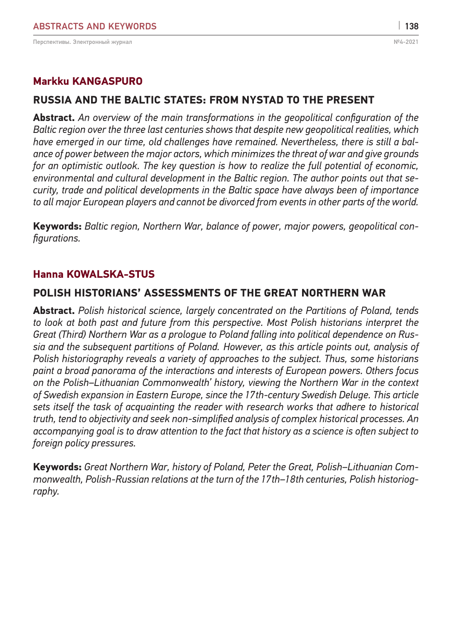### **Markku KANGASPURO**

### **RUSSIA AND THE BALTIC STATES: FROM NYSTAD TO THE PRESENT**

**Abstract.** *An overview of the main transformations in the geopolitical configuration of the Baltic region over the three last centuries shows that despite new geopolitical realities, which*  have emerged in our time, old challenges have remained. Nevertheless, there is still a bal*ance of power between the major actors, which minimizes the threat of war and give grounds for an optimistic outlook. The key question is how to realize the full potential of economic, environmental and cultural development in the Baltic region. The author points out that security, trade and political developments in the Baltic space have always been of importance to all major European players and cannot be divorced from events in other parts of the world.*

**Keywords:** *Baltic region, Northern War, balance of power, major powers, geopolitical configurations.*

#### **Hanna KOWALSKA-STUS**

#### **POLISH HISTORIANS' ASSESSMENTS OF THE GREAT NORTHERN WAR**

**Abstract.** *Polish historical science, largely concentrated on the Partitions of Poland, tends to look at both past and future from this perspective. Most Polish historians interpret the Great (Third) Northern War as a prologue to Poland falling into political dependence on Russia and the subsequent partitions of Poland. However, as this article points out, analysis of Polish historiography reveals a variety of approaches to the subject. Thus, some historians paint a broad panorama of the interactions and interests of European powers. Others focus on the Polish–Lithuanian Commonwealth' history, viewing the Northern War in the context of Swedish expansion in Eastern Europe, since the 17th-century Swedish Deluge. This article sets itself the task of acquainting the reader with research works that adhere to historical truth, tend to objectivity and seek non-simplified analysis of complex historical processes. An accompanying goal is to draw attention to the fact that history as a science is often subject to foreign policy pressures.*

**Keywords:** *Great Northern War, history of Poland, Peter the Great, Polish–Lithuanian Commonwealth, Polish-Russian relations at the turn of the 17th–18th centuries, Polish historiography.*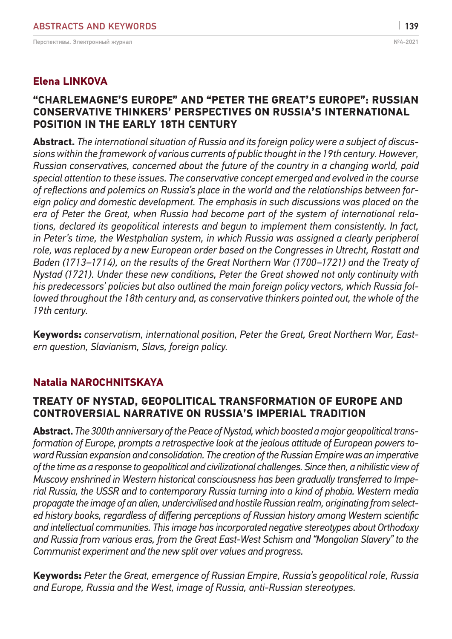#### **"CHARLEMAGNE'S EUROPE" AND "PETER THE GREAT'S EUROPE": RUSSIAN CONSERVATIVE THINKERS' PERSPECTIVES ON RUSSIA'S INTERNATIONAL POSITION IN THE EARLY 18th CENTURY**

**Abstract.** *The international situation of Russia and its foreign policy were a subject of discussions within the framework of various currents of public thought in the 19th century. However, Russian conservatives, concerned about the future of the country in a changing world, paid special attention to these issues. The conservative concept emerged and evolved in the course of reflections and polemics on Russia's place in the world and the relationships between foreign policy and domestic development. The emphasis in such discussions was placed on the era of Peter the Great, when Russia had become part of the system of international relations, declared its geopolitical interests and begun to implement them consistently. In fact, in Peter's time, the Westphalian system, in which Russia was assigned a clearly peripheral role, was replaced by a new European order based on the Congresses in Utrecht, Rastatt and Baden (1713–1714), on the results of the Great Northern War (1700–1721) and the Treaty of Nystad (1721). Under these new conditions, Peter the Great showed not only continuity with his predecessors' policies but also outlined the main foreign policy vectors, which Russia followed throughout the 18th century and, as conservative thinkers pointed out, the whole of the 19th century.*

**Keywords:** *conservatism, international position, Peter the Great, Great Northern War, Eastern question, Slavianism, Slavs, foreign policy.*

# **Natalia NAROCHNITSKAYA**

#### **TREATY OF NYSTAD, GEOPOLITICAL TRANSFORMATION OF EUROPE AND CONTROVERSIAL NARRATIVE ON RUSSIA'S IMPERIAL TRADITION**

**Abstract.** *The 300th anniversary of the Peace of Nystad, which boosted amajor geopolitical transformation of Europe, prompts a retrospective look at the jealous attitude of European powers toward Russian expansion and consolidation. The creation of the Russian Empire was an imperative of the time as a response to geopolitical and civilizational challenges. Since then, a nihilistic view of Muscovy enshrined in Western historical consciousness has been gradually transferred to Imperial Russia, the USSR and to contemporary Russia turning into a kind of phobia. Western media propagate the image of an alien, undercivilised and hostile Russian realm, originating from selected history books, regardless of differing perceptions of Russian history among Western scientific and intellectual communities. This image has incorporated negative stereotypes about Orthodoxy and Russia from various eras, from the Great East-West Schism and "Mongolian Slavery" to the Communist experiment and the new split over values and progress.* 

**Keywords:** *Peter the Great, emergence of Russian Empire, Russia's geopolitical role, Russia and Europe, Russia and the West, image of Russia, anti-Russian stereotypes.*